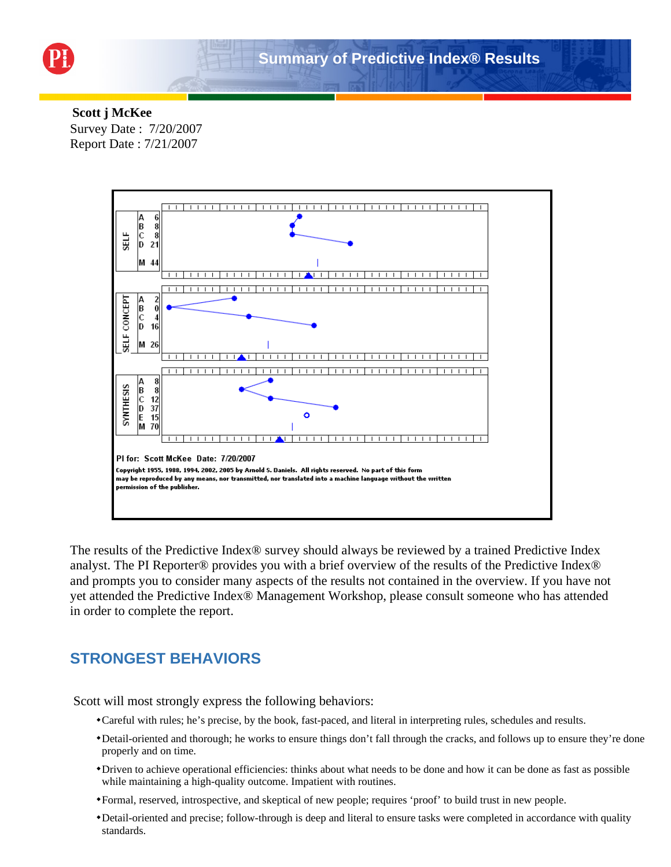

#### **Scott j McKee** Survey Date : 7/20/2007 Report Date : 7/21/2007



The results of the Predictive Index® survey should always be reviewed by a trained Predictive Index analyst. The PI Reporter® provides you with a brief overview of the results of the Predictive Index® and prompts you to consider many aspects of the results not contained in the overview. If you have not yet attended the Predictive Index® Management Workshop, please consult someone who has attended in order to complete the report.

## **STRONGEST BEHAVIORS**

Scott will most strongly express the following behaviors:

- Careful with rules; he's precise, by the book, fast-paced, and literal in interpreting rules, schedules and results.
- Detail-oriented and thorough; he works to ensure things don't fall through the cracks, and follows up to ensure they're done properly and on time.
- Driven to achieve operational efficiencies: thinks about what needs to be done and how it can be done as fast as possible while maintaining a high-quality outcome. Impatient with routines.
- Formal, reserved, introspective, and skeptical of new people; requires 'proof' to build trust in new people.
- Detail-oriented and precise; follow-through is deep and literal to ensure tasks were completed in accordance with quality standards.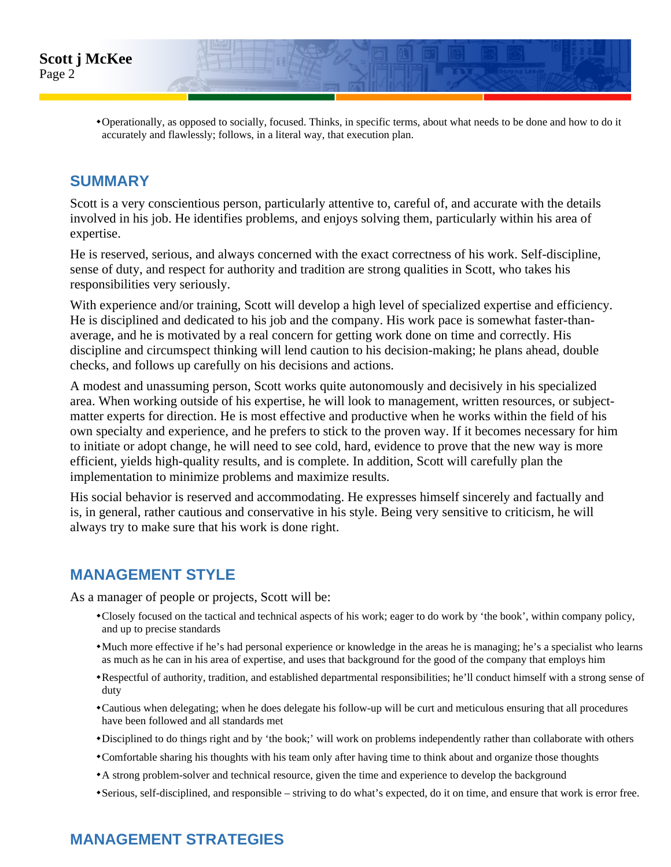

Operationally, as opposed to socially, focused. Thinks, in specific terms, about what needs to be done and how to do it accurately and flawlessly; follows, in a literal way, that execution plan.

# **SUMMARY**

Scott is a very conscientious person, particularly attentive to, careful of, and accurate with the details involved in his job. He identifies problems, and enjoys solving them, particularly within his area of expertise.

He is reserved, serious, and always concerned with the exact correctness of his work. Self-discipline, sense of duty, and respect for authority and tradition are strong qualities in Scott, who takes his responsibilities very seriously.

With experience and/or training, Scott will develop a high level of specialized expertise and efficiency. He is disciplined and dedicated to his job and the company. His work pace is somewhat faster-thanaverage, and he is motivated by a real concern for getting work done on time and correctly. His discipline and circumspect thinking will lend caution to his decision-making; he plans ahead, double checks, and follows up carefully on his decisions and actions.

A modest and unassuming person, Scott works quite autonomously and decisively in his specialized area. When working outside of his expertise, he will look to management, written resources, or subjectmatter experts for direction. He is most effective and productive when he works within the field of his own specialty and experience, and he prefers to stick to the proven way. If it becomes necessary for him to initiate or adopt change, he will need to see cold, hard, evidence to prove that the new way is more efficient, yields high-quality results, and is complete. In addition, Scott will carefully plan the implementation to minimize problems and maximize results.

His social behavior is reserved and accommodating. He expresses himself sincerely and factually and is, in general, rather cautious and conservative in his style. Being very sensitive to criticism, he will always try to make sure that his work is done right.

### **MANAGEMENT STYLE**

As a manager of people or projects, Scott will be:

- Closely focused on the tactical and technical aspects of his work; eager to do work by 'the book', within company policy, and up to precise standards
- Much more effective if he's had personal experience or knowledge in the areas he is managing; he's a specialist who learns as much as he can in his area of expertise, and uses that background for the good of the company that employs him
- Respectful of authority, tradition, and established departmental responsibilities; he'll conduct himself with a strong sense of duty
- Cautious when delegating; when he does delegate his follow-up will be curt and meticulous ensuring that all procedures have been followed and all standards met
- Disciplined to do things right and by 'the book;' will work on problems independently rather than collaborate with others
- Comfortable sharing his thoughts with his team only after having time to think about and organize those thoughts
- A strong problem-solver and technical resource, given the time and experience to develop the background
- Serious, self-disciplined, and responsible striving to do what's expected, do it on time, and ensure that work is error free.

# **MANAGEMENT STRATEGIES**